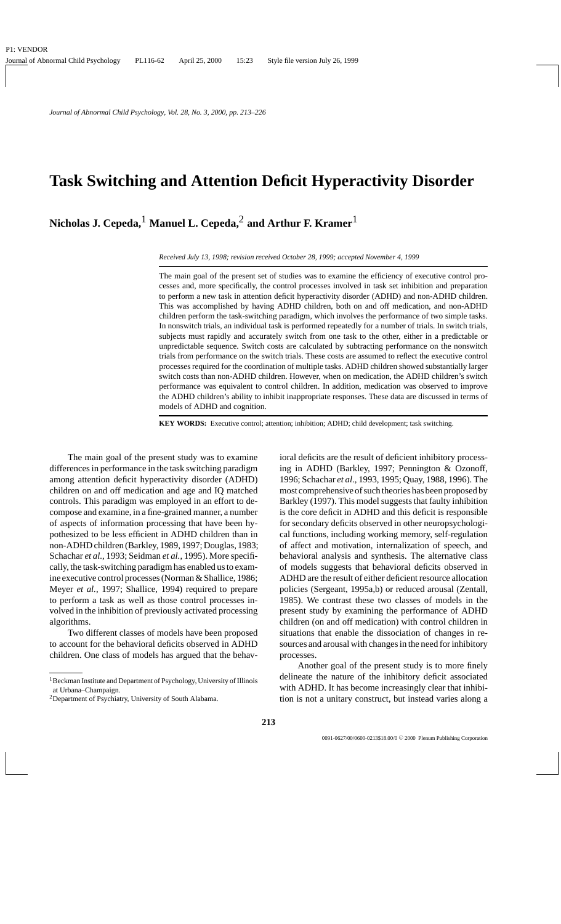# **Task Switching and Attention Deficit Hyperactivity Disorder**

**Nicholas J. Cepeda,**1 **Manuel L. Cepeda,**2 **and Arthur F. Kramer**1

*Received July 13, 1998; revision received October 28, 1999; accepted November 4, 1999*

The main goal of the present set of studies was to examine the efficiency of executive control processes and, more specifically, the control processes involved in task set inhibition and preparation to perform a new task in attention deficit hyperactivity disorder (ADHD) and non-ADHD children. This was accomplished by having ADHD children, both on and off medication, and non-ADHD children perform the task-switching paradigm, which involves the performance of two simple tasks. In nonswitch trials, an individual task is performed repeatedly for a number of trials. In switch trials, subjects must rapidly and accurately switch from one task to the other, either in a predictable or unpredictable sequence. Switch costs are calculated by subtracting performance on the nonswitch trials from performance on the switch trials. These costs are assumed to reflect the executive control processes required for the coordination of multiple tasks. ADHD children showed substantially larger switch costs than non-ADHD children. However, when on medication, the ADHD children's switch performance was equivalent to control children. In addition, medication was observed to improve the ADHD children's ability to inhibit inappropriate responses. These data are discussed in terms of models of ADHD and cognition.

**KEY WORDS:** Executive control; attention; inhibition; ADHD; child development; task switching.

The main goal of the present study was to examine differences in performance in the task switching paradigm among attention deficit hyperactivity disorder (ADHD) children on and off medication and age and IQ matched controls. This paradigm was employed in an effort to decompose and examine, in a fine-grained manner, a number of aspects of information processing that have been hypothesized to be less efficient in ADHD children than in non-ADHD children (Barkley, 1989, 1997; Douglas, 1983; Schachar *et al.*, 1993; Seidman *et al.*, 1995). More specifically, the task-switching paradigm has enabled us to examine executive control processes (Norman & Shallice, 1986; Meyer *et al.*, 1997; Shallice, 1994) required to prepare to perform a task as well as those control processes involved in the inhibition of previously activated processing algorithms.

Two different classes of models have been proposed to account for the behavioral deficits observed in ADHD children. One class of models has argued that the behav-

ioral deficits are the result of deficient inhibitory processing in ADHD (Barkley, 1997; Pennington & Ozonoff, 1996; Schachar *et al.*, 1993, 1995; Quay, 1988, 1996). The most comprehensive of such theories has been proposed by Barkley (1997). This model suggests that faulty inhibition is the core deficit in ADHD and this deficit is responsible for secondary deficits observed in other neuropsychological functions, including working memory, self-regulation of affect and motivation, internalization of speech, and behavioral analysis and synthesis. The alternative class of models suggests that behavioral deficits observed in ADHD are the result of either deficient resource allocation policies (Sergeant, 1995a,b) or reduced arousal (Zentall, 1985). We contrast these two classes of models in the present study by examining the performance of ADHD children (on and off medication) with control children in situations that enable the dissociation of changes in resources and arousal with changes in the need for inhibitory processes.

Another goal of the present study is to more finely delineate the nature of the inhibitory deficit associated with ADHD. It has become increasingly clear that inhibition is not a unitary construct, but instead varies along a

<sup>1</sup>Beckman Institute and Department of Psychology, University of Illinois at Urbana–Champaign.

<sup>&</sup>lt;sup>2</sup>Department of Psychiatry, University of South Alabama.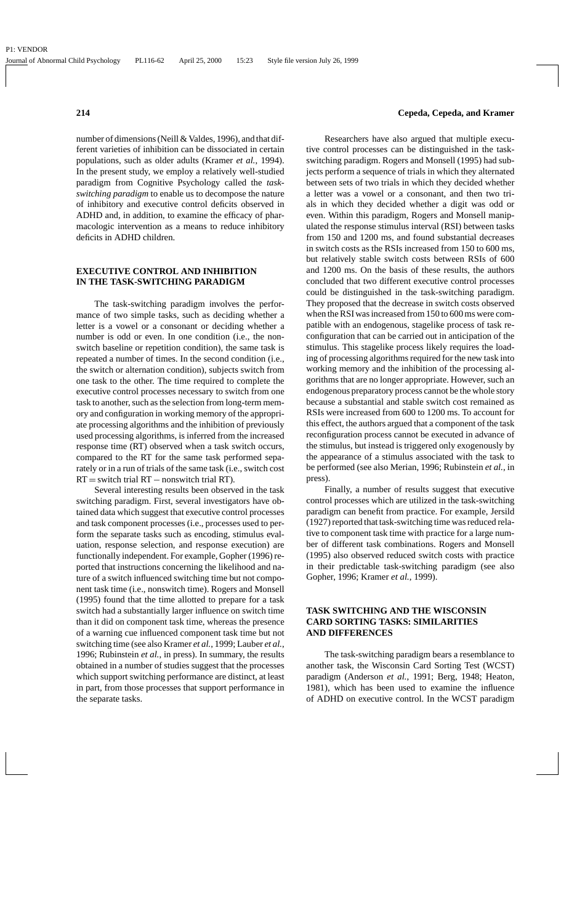number of dimensions (Neill & Valdes, 1996), and that different varieties of inhibition can be dissociated in certain populations, such as older adults (Kramer *et al.*, 1994). In the present study, we employ a relatively well-studied paradigm from Cognitive Psychology called the *taskswitching paradigm* to enable us to decompose the nature of inhibitory and executive control deficits observed in ADHD and, in addition, to examine the efficacy of pharmacologic intervention as a means to reduce inhibitory deficits in ADHD children.

# **EXECUTIVE CONTROL AND INHIBITION IN THE TASK-SWITCHING PARADIGM**

The task-switching paradigm involves the performance of two simple tasks, such as deciding whether a letter is a vowel or a consonant or deciding whether a number is odd or even. In one condition (i.e., the nonswitch baseline or repetition condition), the same task is repeated a number of times. In the second condition (i.e., the switch or alternation condition), subjects switch from one task to the other. The time required to complete the executive control processes necessary to switch from one task to another, such as the selection from long-term memory and configuration in working memory of the appropriate processing algorithms and the inhibition of previously used processing algorithms, is inferred from the increased response time (RT) observed when a task switch occurs, compared to the RT for the same task performed separately or in a run of trials of the same task (i.e., switch cost  $RT$  = switch trial  $RT$  – nonswitch trial RT).

Several interesting results been observed in the task switching paradigm. First, several investigators have obtained data which suggest that executive control processes and task component processes (i.e., processes used to perform the separate tasks such as encoding, stimulus evaluation, response selection, and response execution) are functionally independent. For example, Gopher (1996) reported that instructions concerning the likelihood and nature of a switch influenced switching time but not component task time (i.e., nonswitch time). Rogers and Monsell (1995) found that the time allotted to prepare for a task switch had a substantially larger influence on switch time than it did on component task time, whereas the presence of a warning cue influenced component task time but not switching time (see also Kramer *et al.*, 1999; Lauber *et al.*, 1996; Rubinstein *et al.*, in press). In summary, the results obtained in a number of studies suggest that the processes which support switching performance are distinct, at least in part, from those processes that support performance in the separate tasks.

Researchers have also argued that multiple executive control processes can be distinguished in the taskswitching paradigm. Rogers and Monsell (1995) had subjects perform a sequence of trials in which they alternated between sets of two trials in which they decided whether a letter was a vowel or a consonant, and then two trials in which they decided whether a digit was odd or even. Within this paradigm, Rogers and Monsell manipulated the response stimulus interval (RSI) between tasks from 150 and 1200 ms, and found substantial decreases in switch costs as the RSIs increased from 150 to 600 ms, but relatively stable switch costs between RSIs of 600 and 1200 ms. On the basis of these results, the authors concluded that two different executive control processes could be distinguished in the task-switching paradigm. They proposed that the decrease in switch costs observed when the RSI was increased from 150 to 600 ms were compatible with an endogenous, stagelike process of task reconfiguration that can be carried out in anticipation of the stimulus. This stagelike process likely requires the loading of processing algorithms required for the new task into working memory and the inhibition of the processing algorithms that are no longer appropriate. However, such an endogenous preparatory process cannot be the whole story because a substantial and stable switch cost remained as RSIs were increased from 600 to 1200 ms. To account for this effect, the authors argued that a component of the task reconfiguration process cannot be executed in advance of the stimulus, but instead is triggered only exogenously by the appearance of a stimulus associated with the task to be performed (see also Merian, 1996; Rubinstein *et al.*, in press).

Finally, a number of results suggest that executive control processes which are utilized in the task-switching paradigm can benefit from practice. For example, Jersild (1927) reported that task-switching time was reduced relative to component task time with practice for a large number of different task combinations. Rogers and Monsell (1995) also observed reduced switch costs with practice in their predictable task-switching paradigm (see also Gopher, 1996; Kramer *et al.*, 1999).

# **TASK SWITCHING AND THE WISCONSIN CARD SORTING TASKS: SIMILARITIES AND DIFFERENCES**

The task-switching paradigm bears a resemblance to another task, the Wisconsin Card Sorting Test (WCST) paradigm (Anderson *et al.*, 1991; Berg, 1948; Heaton, 1981), which has been used to examine the influence of ADHD on executive control. In the WCST paradigm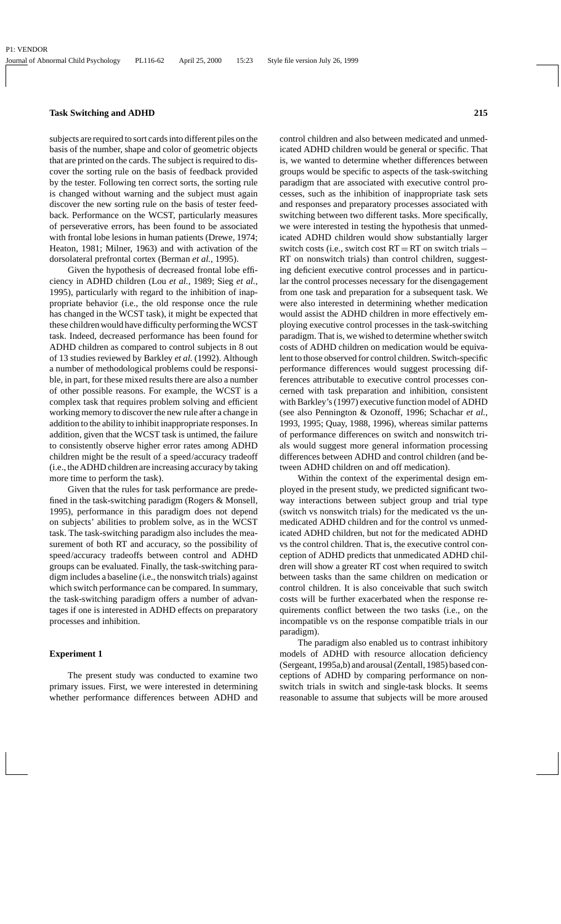subjects are required to sort cards into different piles on the basis of the number, shape and color of geometric objects that are printed on the cards. The subject is required to discover the sorting rule on the basis of feedback provided by the tester. Following ten correct sorts, the sorting rule is changed without warning and the subject must again discover the new sorting rule on the basis of tester feedback. Performance on the WCST, particularly measures of perseverative errors, has been found to be associated with frontal lobe lesions in human patients (Drewe, 1974; Heaton, 1981; Milner, 1963) and with activation of the dorsolateral prefrontal cortex (Berman *et al.*, 1995).

Given the hypothesis of decreased frontal lobe efficiency in ADHD children (Lou *et al.*, 1989; Sieg *et al.*, 1995), particularly with regard to the inhibition of inappropriate behavior (i.e., the old response once the rule has changed in the WCST task), it might be expected that these children would have difficulty performing the WCST task. Indeed, decreased performance has been found for ADHD children as compared to control subjects in 8 out of 13 studies reviewed by Barkley *et al.* (1992). Although a number of methodological problems could be responsible, in part, for these mixed results there are also a number of other possible reasons. For example, the WCST is a complex task that requires problem solving and efficient working memory to discover the new rule after a change in addition to the ability to inhibit inappropriate responses. In addition, given that the WCST task is untimed, the failure to consistently observe higher error rates among ADHD children might be the result of a speed/accuracy tradeoff (i.e., the ADHD children are increasing accuracy by taking more time to perform the task).

Given that the rules for task performance are predefined in the task-switching paradigm (Rogers & Monsell, 1995), performance in this paradigm does not depend on subjects' abilities to problem solve, as in the WCST task. The task-switching paradigm also includes the measurement of both RT and accuracy, so the possibility of speed/accuracy tradeoffs between control and ADHD groups can be evaluated. Finally, the task-switching paradigm includes a baseline (i.e., the nonswitch trials) against which switch performance can be compared. In summary, the task-switching paradigm offers a number of advantages if one is interested in ADHD effects on preparatory processes and inhibition.

#### **Experiment 1**

The present study was conducted to examine two primary issues. First, we were interested in determining whether performance differences between ADHD and

control children and also between medicated and unmedicated ADHD children would be general or specific. That is, we wanted to determine whether differences between groups would be specific to aspects of the task-switching paradigm that are associated with executive control processes, such as the inhibition of inappropriate task sets and responses and preparatory processes associated with switching between two different tasks. More specifically, we were interested in testing the hypothesis that unmedicated ADHD children would show substantially larger switch costs (i.e., switch cost  $RT = RT$  on switch trials – RT on nonswitch trials) than control children, suggesting deficient executive control processes and in particular the control processes necessary for the disengagement from one task and preparation for a subsequent task. We were also interested in determining whether medication would assist the ADHD children in more effectively employing executive control processes in the task-switching paradigm. That is, we wished to determine whether switch costs of ADHD children on medication would be equivalent to those observed for control children. Switch-specific performance differences would suggest processing differences attributable to executive control processes concerned with task preparation and inhibition, consistent with Barkley's (1997) executive function model of ADHD (see also Pennington & Ozonoff, 1996; Schachar *et al.*, 1993, 1995; Quay, 1988, 1996), whereas similar patterns of performance differences on switch and nonswitch trials would suggest more general information processing differences between ADHD and control children (and between ADHD children on and off medication).

Within the context of the experimental design employed in the present study, we predicted significant twoway interactions between subject group and trial type (switch vs nonswitch trials) for the medicated vs the unmedicated ADHD children and for the control vs unmedicated ADHD children, but not for the medicated ADHD vs the control children. That is, the executive control conception of ADHD predicts that unmedicated ADHD children will show a greater RT cost when required to switch between tasks than the same children on medication or control children. It is also conceivable that such switch costs will be further exacerbated when the response requirements conflict between the two tasks (i.e., on the incompatible vs on the response compatible trials in our paradigm).

The paradigm also enabled us to contrast inhibitory models of ADHD with resource allocation deficiency (Sergeant, 1995a,b) and arousal (Zentall, 1985) based conceptions of ADHD by comparing performance on nonswitch trials in switch and single-task blocks. It seems reasonable to assume that subjects will be more aroused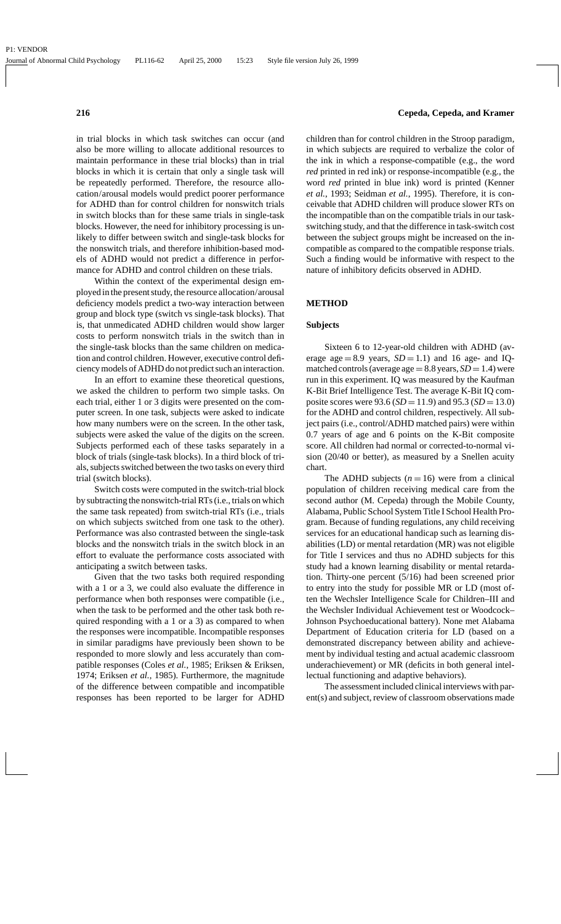in trial blocks in which task switches can occur (and also be more willing to allocate additional resources to maintain performance in these trial blocks) than in trial blocks in which it is certain that only a single task will be repeatedly performed. Therefore, the resource allocation/arousal models would predict poorer performance for ADHD than for control children for nonswitch trials in switch blocks than for these same trials in single-task blocks. However, the need for inhibitory processing is unlikely to differ between switch and single-task blocks for the nonswitch trials, and therefore inhibition-based models of ADHD would not predict a difference in performance for ADHD and control children on these trials.

Within the context of the experimental design employed in the present study, the resource allocation/arousal deficiency models predict a two-way interaction between group and block type (switch vs single-task blocks). That is, that unmedicated ADHD children would show larger costs to perform nonswitch trials in the switch than in the single-task blocks than the same children on medication and control children. However, executive control deficiency models of ADHD do not predict such an interaction.

In an effort to examine these theoretical questions, we asked the children to perform two simple tasks. On each trial, either 1 or 3 digits were presented on the computer screen. In one task, subjects were asked to indicate how many numbers were on the screen. In the other task, subjects were asked the value of the digits on the screen. Subjects performed each of these tasks separately in a block of trials (single-task blocks). In a third block of trials, subjects switched between the two tasks on every third trial (switch blocks).

Switch costs were computed in the switch-trial block by subtracting the nonswitch-trial RTs (i.e., trials on which the same task repeated) from switch-trial RTs (i.e., trials on which subjects switched from one task to the other). Performance was also contrasted between the single-task blocks and the nonswitch trials in the switch block in an effort to evaluate the performance costs associated with anticipating a switch between tasks.

Given that the two tasks both required responding with a 1 or a 3, we could also evaluate the difference in performance when both responses were compatible (i.e., when the task to be performed and the other task both required responding with a 1 or a 3) as compared to when the responses were incompatible. Incompatible responses in similar paradigms have previously been shown to be responded to more slowly and less accurately than compatible responses (Coles *et al.*, 1985; Eriksen & Eriksen, 1974; Eriksen *et al.*, 1985). Furthermore, the magnitude of the difference between compatible and incompatible responses has been reported to be larger for ADHD children than for control children in the Stroop paradigm, in which subjects are required to verbalize the color of the ink in which a response-compatible (e.g., the word *red* printed in red ink) or response-incompatible (e.g., the word *red* printed in blue ink) word is printed (Kenner *et al.*, 1993; Seidman *et al.*, 1995). Therefore, it is conceivable that ADHD children will produce slower RTs on the incompatible than on the compatible trials in our taskswitching study, and that the difference in task-switch cost between the subject groups might be increased on the incompatible as compared to the compatible response trials. Such a finding would be informative with respect to the nature of inhibitory deficits observed in ADHD.

#### **METHOD**

#### **Subjects**

Sixteen 6 to 12-year-old children with ADHD (average age  $= 8.9$  years,  $SD = 1.1$ ) and 16 age- and IQmatched controls (average age  $= 8.8$  years,  $SD = 1.4$ ) were run in this experiment. IQ was measured by the Kaufman K-Bit Brief Intelligence Test. The average K-Bit IQ composite scores were 93.6 (*SD* = 11.9) and 95.3 (*SD* = 13.0) for the ADHD and control children, respectively. All subject pairs (i.e., control/ADHD matched pairs) were within 0.7 years of age and 6 points on the K-Bit composite score. All children had normal or corrected-to-normal vision (20/40 or better), as measured by a Snellen acuity chart.

The ADHD subjects  $(n = 16)$  were from a clinical population of children receiving medical care from the second author (M. Cepeda) through the Mobile County, Alabama, Public School System Title I School Health Program. Because of funding regulations, any child receiving services for an educational handicap such as learning disabilities (LD) or mental retardation (MR) was not eligible for Title I services and thus no ADHD subjects for this study had a known learning disability or mental retardation. Thirty-one percent (5/16) had been screened prior to entry into the study for possible MR or LD (most often the Wechsler Intelligence Scale for Children–III and the Wechsler Individual Achievement test or Woodcock– Johnson Psychoeducational battery). None met Alabama Department of Education criteria for LD (based on a demonstrated discrepancy between ability and achievement by individual testing and actual academic classroom underachievement) or MR (deficits in both general intellectual functioning and adaptive behaviors).

The assessment included clinical interviews with parent(s) and subject, review of classroom observations made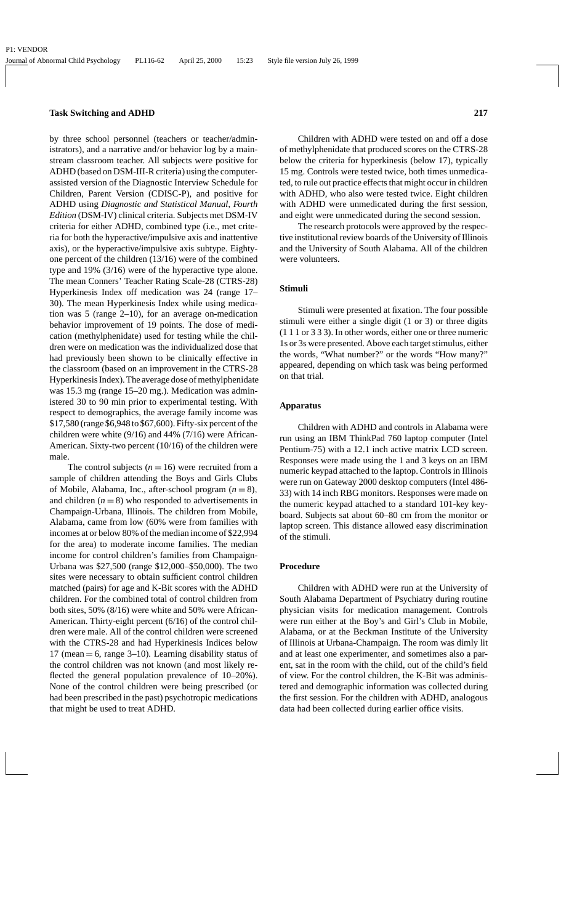#### **Task Switching and ADHD 217**

by three school personnel (teachers or teacher/administrators), and a narrative and/or behavior log by a mainstream classroom teacher. All subjects were positive for ADHD (based on DSM-III-R criteria) using the computerassisted version of the Diagnostic Interview Schedule for Children, Parent Version (CDISC-P), and positive for ADHD using *Diagnostic and Statistical Manual*, *Fourth Edition* (DSM-IV) clinical criteria. Subjects met DSM-IV criteria for either ADHD, combined type (i.e., met criteria for both the hyperactive/impulsive axis and inattentive axis), or the hyperactive/impulsive axis subtype. Eightyone percent of the children (13/16) were of the combined type and 19% (3/16) were of the hyperactive type alone. The mean Conners' Teacher Rating Scale-28 (CTRS-28) Hyperkinesis Index off medication was 24 (range 17– 30). The mean Hyperkinesis Index while using medication was 5 (range 2–10), for an average on-medication behavior improvement of 19 points. The dose of medication (methylphenidate) used for testing while the children were on medication was the individualized dose that had previously been shown to be clinically effective in the classroom (based on an improvement in the CTRS-28 Hyperkinesis Index). The average dose of methylphenidate was 15.3 mg (range 15–20 mg.). Medication was administered 30 to 90 min prior to experimental testing. With respect to demographics, the average family income was \$17,580 (range \$6,948 to \$67,600). Fifty-six percent of the children were white (9/16) and 44% (7/16) were African-American. Sixty-two percent (10/16) of the children were male.

The control subjects  $(n = 16)$  were recruited from a sample of children attending the Boys and Girls Clubs of Mobile, Alabama, Inc., after-school program (*n* = 8), and children  $(n = 8)$  who responded to advertisements in Champaign-Urbana, Illinois. The children from Mobile, Alabama, came from low (60% were from families with incomes at or below 80% of the median income of \$22,994 for the area) to moderate income families. The median income for control children's families from Champaign-Urbana was \$27,500 (range \$12,000–\$50,000). The two sites were necessary to obtain sufficient control children matched (pairs) for age and K-Bit scores with the ADHD children. For the combined total of control children from both sites, 50% (8/16) were white and 50% were African-American. Thirty-eight percent (6/16) of the control children were male. All of the control children were screened with the CTRS-28 and had Hyperkinesis Indices below 17 (mean  $= 6$ , range 3–10). Learning disability status of the control children was not known (and most likely reflected the general population prevalence of 10–20%). None of the control children were being prescribed (or had been prescribed in the past) psychotropic medications that might be used to treat ADHD.

Children with ADHD were tested on and off a dose of methylphenidate that produced scores on the CTRS-28 below the criteria for hyperkinesis (below 17), typically 15 mg. Controls were tested twice, both times unmedicated, to rule out practice effects that might occur in children with ADHD, who also were tested twice. Eight children with ADHD were unmedicated during the first session, and eight were unmedicated during the second session.

The research protocols were approved by the respective institutional review boards of the University of Illinois and the University of South Alabama. All of the children were volunteers.

#### **Stimuli**

Stimuli were presented at fixation. The four possible stimuli were either a single digit (1 or 3) or three digits (1 1 1 or 3 3 3). In other words, either one or three numeric 1s or 3s were presented. Above each target stimulus, either the words, "What number?" or the words "How many?" appeared, depending on which task was being performed on that trial.

## **Apparatus**

Children with ADHD and controls in Alabama were run using an IBM ThinkPad 760 laptop computer (Intel Pentium-75) with a 12.1 inch active matrix LCD screen. Responses were made using the 1 and 3 keys on an IBM numeric keypad attached to the laptop. Controls in Illinois were run on Gateway 2000 desktop computers (Intel 486- 33) with 14 inch RBG monitors. Responses were made on the numeric keypad attached to a standard 101-key keyboard. Subjects sat about 60–80 cm from the monitor or laptop screen. This distance allowed easy discrimination of the stimuli.

## **Procedure**

Children with ADHD were run at the University of South Alabama Department of Psychiatry during routine physician visits for medication management. Controls were run either at the Boy's and Girl's Club in Mobile, Alabama, or at the Beckman Institute of the University of Illinois at Urbana-Champaign. The room was dimly lit and at least one experimenter, and sometimes also a parent, sat in the room with the child, out of the child's field of view. For the control children, the K-Bit was administered and demographic information was collected during the first session. For the children with ADHD, analogous data had been collected during earlier office visits.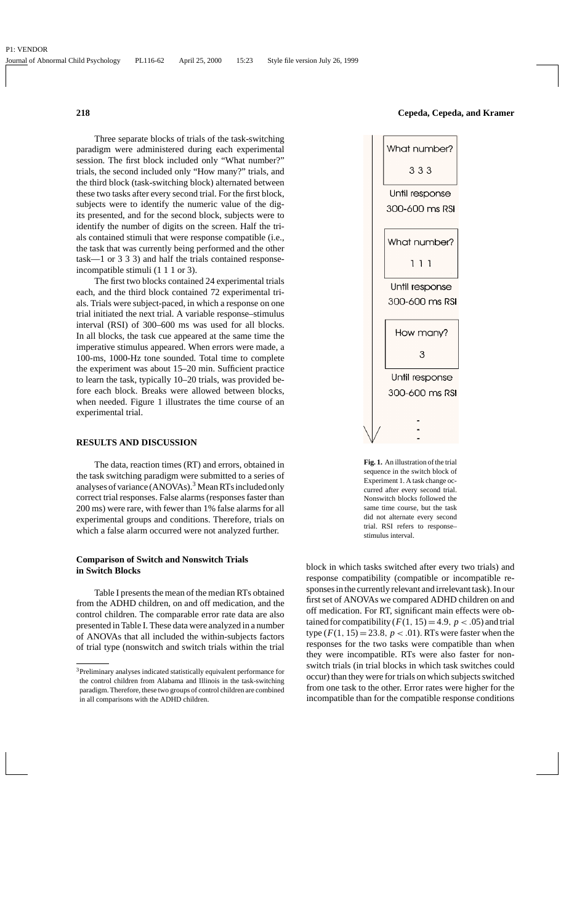Three separate blocks of trials of the task-switching paradigm were administered during each experimental session. The first block included only "What number?" trials, the second included only "How many?" trials, and the third block (task-switching block) alternated between these two tasks after every second trial. For the first block, subjects were to identify the numeric value of the digits presented, and for the second block, subjects were to identify the number of digits on the screen. Half the trials contained stimuli that were response compatible (i.e., the task that was currently being performed and the other task—1 or 3 3 3) and half the trials contained responseincompatible stimuli (1 1 1 or 3).

The first two blocks contained 24 experimental trials each, and the third block contained 72 experimental trials. Trials were subject-paced, in which a response on one trial initiated the next trial. A variable response–stimulus interval (RSI) of 300–600 ms was used for all blocks. In all blocks, the task cue appeared at the same time the imperative stimulus appeared. When errors were made, a 100-ms, 1000-Hz tone sounded. Total time to complete the experiment was about 15–20 min. Sufficient practice to learn the task, typically 10–20 trials, was provided before each block. Breaks were allowed between blocks, when needed. Figure 1 illustrates the time course of an experimental trial.

### **RESULTS AND DISCUSSION**

The data, reaction times (RT) and errors, obtained in the task switching paradigm were submitted to a series of analyses of variance (ANOVAs).<sup>3</sup> Mean RTs included only correct trial responses. False alarms (responses faster than 200 ms) were rare, with fewer than 1% false alarms for all experimental groups and conditions. Therefore, trials on which a false alarm occurred were not analyzed further.

## **Comparison of Switch and Nonswitch Trials in Switch Blocks**

Table I presents the mean of the median RTs obtained from the ADHD children, on and off medication, and the control children. The comparable error rate data are also presented in Table I. These data were analyzed in a number of ANOVAs that all included the within-subjects factors of trial type (nonswitch and switch trials within the trial



**Fig. 1.** An illustration of the trial sequence in the switch block of Experiment 1. A task change occurred after every second trial. Nonswitch blocks followed the same time course, but the task did not alternate every second trial. RSI refers to response– stimulus interval.

block in which tasks switched after every two trials) and response compatibility (compatible or incompatible responses in the currently relevant and irrelevant task). In our first set of ANOVAs we compared ADHD children on and off medication. For RT, significant main effects were obtained for compatibility  $(F(1, 15) = 4.9, p < .05)$  and trial type  $(F(1, 15) = 23.8, p < .01)$ . RTs were faster when the responses for the two tasks were compatible than when they were incompatible. RTs were also faster for nonswitch trials (in trial blocks in which task switches could occur) than they were for trials on which subjects switched from one task to the other. Error rates were higher for the incompatible than for the compatible response conditions

<sup>&</sup>lt;sup>3</sup>Preliminary analyses indicated statistically equivalent performance for the control children from Alabama and Illinois in the task-switching paradigm. Therefore, these two groups of control children are combined in all comparisons with the ADHD children.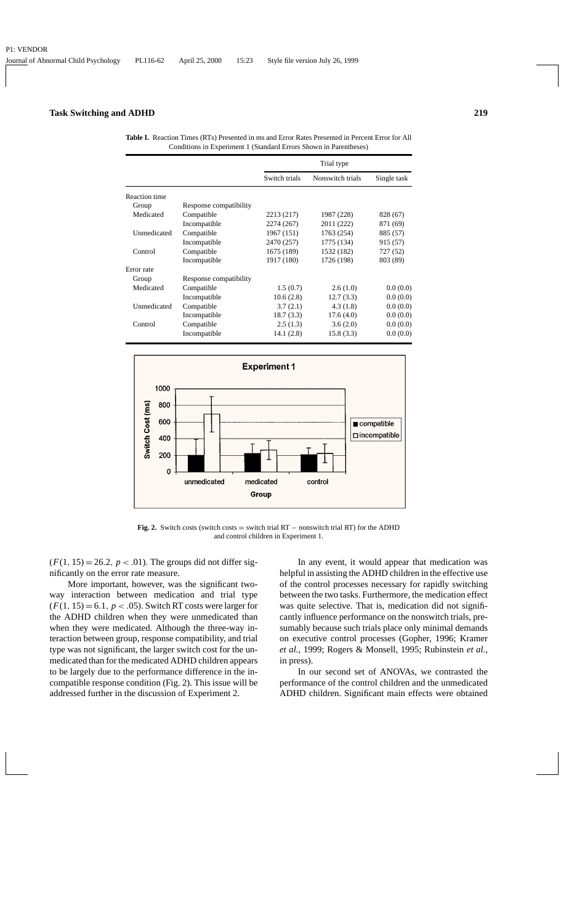|                      |                        | Trial type    |                  |             |
|----------------------|------------------------|---------------|------------------|-------------|
|                      |                        | Switch trials | Nonswitch trials | Single task |
| <b>Reaction time</b> |                        |               |                  |             |
| Group                | Response compatibility |               |                  |             |
| Medicated            | Compatible             | 2213 (217)    | 1987 (228)       | 828 (67)    |
|                      | Incompatible           | 2274 (267)    | 2011 (222)       | 871 (69)    |
| Unmedicated          | Compatible             | 1967 (151)    | 1763 (254)       | 885 (57)    |
|                      | Incompatible           | 2470 (257)    | 1775 (134)       | 915 (57)    |
| Control              | Compatible             | 1675 (189)    | 1532 (182)       | 727 (52)    |
|                      | Incompatible           | 1917 (180)    | 1726 (198)       | 803 (89)    |
| Error rate           |                        |               |                  |             |
| Group                | Response compatibility |               |                  |             |
| Medicated            | Compatible             | 1.5(0.7)      | 2.6(1.0)         | 0.0(0.0)    |
|                      | Incompatible           | 10.6(2.8)     | 12.7(3.3)        | 0.0(0.0)    |
| Unmedicated          | Compatible             | 3.7(2.1)      | 4.3(1.8)         | 0.0(0.0)    |
|                      | Incompatible           | 18.7(3.3)     | 17.6(4.0)        | 0.0(0.0)    |
| Control              | Compatible             | 2.5(1.3)      | 3.6(2.0)         | 0.0(0.0)    |
|                      | Incompatible           | 14.1(2.8)     | 15.8(3.3)        | 0.0(0.0)    |

**Table I.** Reaction Times (RTs) Presented in ms and Error Rates Presented in Percent Error for All Conditions in Experiment 1 (Standard Errors Shown in Parentheses)



**Fig. 2.** Switch costs (switch costs = switch trial RT − nonswitch trial RT) for the ADHD and control children in Experiment 1.

 $(F(1, 15) = 26.2, p < .01)$ . The groups did not differ significantly on the error rate measure.

More important, however, was the significant twoway interaction between medication and trial type  $(F(1, 15) = 6.1, p < .05)$ . Switch RT costs were larger for the ADHD children when they were unmedicated than when they were medicated. Although the three-way interaction between group, response compatibility, and trial type was not significant, the larger switch cost for the unmedicated than for the medicated ADHD children appears to be largely due to the performance difference in the incompatible response condition (Fig. 2). This issue will be addressed further in the discussion of Experiment 2.

In any event, it would appear that medication was helpful in assisting the ADHD children in the effective use of the control processes necessary for rapidly switching between the two tasks. Furthermore, the medication effect was quite selective. That is, medication did not significantly influence performance on the nonswitch trials, presumably because such trials place only minimal demands on executive control processes (Gopher, 1996; Kramer *et al.*, 1999; Rogers & Monsell, 1995; Rubinstein *et al.*, in press).

In our second set of ANOVAs, we contrasted the performance of the control children and the unmedicated ADHD children. Significant main effects were obtained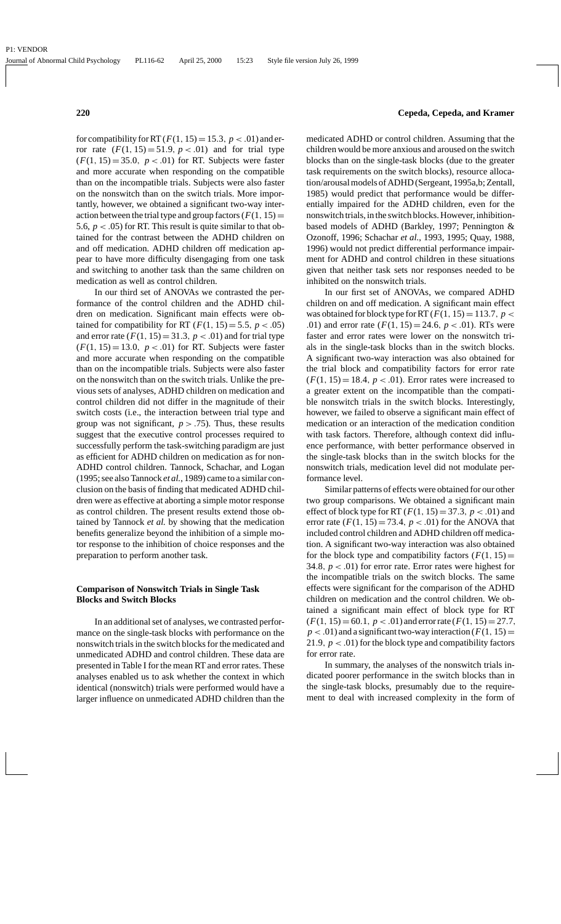for compatibility for RT  $(F(1, 15) = 15.3, p < .01)$  and error rate  $(F(1, 15) = 51.9, p < .01)$  and for trial type  $(F(1, 15) = 35.0, p < .01)$  for RT. Subjects were faster and more accurate when responding on the compatible than on the incompatible trials. Subjects were also faster on the nonswitch than on the switch trials. More importantly, however, we obtained a significant two-way interaction between the trial type and group factors  $(F(1, 15)) =$ 5.6,  $p < .05$ ) for RT. This result is quite similar to that obtained for the contrast between the ADHD children on and off medication. ADHD children off medication appear to have more difficulty disengaging from one task and switching to another task than the same children on medication as well as control children.

In our third set of ANOVAs we contrasted the performance of the control children and the ADHD children on medication. Significant main effects were obtained for compatibility for RT  $(F(1, 15) = 5.5, p < .05)$ and error rate  $(F(1, 15) = 31.3, p < .01)$  and for trial type  $(F(1, 15) = 13.0, p < .01)$  for RT. Subjects were faster and more accurate when responding on the compatible than on the incompatible trials. Subjects were also faster on the nonswitch than on the switch trials. Unlike the previous sets of analyses, ADHD children on medication and control children did not differ in the magnitude of their switch costs (i.e., the interaction between trial type and group was not significant,  $p > .75$ ). Thus, these results suggest that the executive control processes required to successfully perform the task-switching paradigm are just as efficient for ADHD children on medication as for non-ADHD control children. Tannock, Schachar, and Logan (1995; see also Tannock *et al.*, 1989) came to a similar conclusion on the basis of finding that medicated ADHD children were as effective at aborting a simple motor response as control children. The present results extend those obtained by Tannock *et al.* by showing that the medication benefits generalize beyond the inhibition of a simple motor response to the inhibition of choice responses and the preparation to perform another task.

## **Comparison of Nonswitch Trials in Single Task Blocks and Switch Blocks**

In an additional set of analyses, we contrasted performance on the single-task blocks with performance on the nonswitch trials in the switch blocks for the medicated and unmedicated ADHD and control children. These data are presented in Table I for the mean RT and error rates. These analyses enabled us to ask whether the context in which identical (nonswitch) trials were performed would have a larger influence on unmedicated ADHD children than the medicated ADHD or control children. Assuming that the children would be more anxious and aroused on the switch blocks than on the single-task blocks (due to the greater task requirements on the switch blocks), resource allocation/arousal models of ADHD (Sergeant, 1995a,b; Zentall, 1985) would predict that performance would be differentially impaired for the ADHD children, even for the nonswitch trials, in the switch blocks. However, inhibitionbased models of ADHD (Barkley, 1997; Pennington & Ozonoff, 1996; Schachar *et al.*, 1993, 1995; Quay, 1988, 1996) would not predict differential performance impairment for ADHD and control children in these situations given that neither task sets nor responses needed to be inhibited on the nonswitch trials.

In our first set of ANOVAs, we compared ADHD children on and off medication. A significant main effect was obtained for block type for RT  $(F(1, 15) = 113.7, p <$ .01) and error rate  $(F(1, 15) = 24.6, p < .01)$ . RTs were faster and error rates were lower on the nonswitch trials in the single-task blocks than in the switch blocks. A significant two-way interaction was also obtained for the trial block and compatibility factors for error rate  $(F(1, 15) = 18.4, p < .01)$ . Error rates were increased to a greater extent on the incompatible than the compatible nonswitch trials in the switch blocks. Interestingly, however, we failed to observe a significant main effect of medication or an interaction of the medication condition with task factors. Therefore, although context did influence performance, with better performance observed in the single-task blocks than in the switch blocks for the nonswitch trials, medication level did not modulate performance level.

Similar patterns of effects were obtained for our other two group comparisons. We obtained a significant main effect of block type for RT  $(F(1, 15) = 37.3, p < .01)$  and error rate  $(F(1, 15) = 73.4, p < .01)$  for the ANOVA that included control children and ADHD children off medication. A significant two-way interaction was also obtained for the block type and compatibility factors  $(F(1, 15)) =$ 34.8,  $p < .01$ ) for error rate. Error rates were highest for the incompatible trials on the switch blocks. The same effects were significant for the comparison of the ADHD children on medication and the control children. We obtained a significant main effect of block type for RT  $(F(1, 15) = 60.1, p < .01)$  and error rate  $(F(1, 15) = 27.7,$  $p < .01$ ) and a significant two-way interaction  $(F(1, 15)) =$ 21.9,  $p < .01$ ) for the block type and compatibility factors for error rate.

In summary, the analyses of the nonswitch trials indicated poorer performance in the switch blocks than in the single-task blocks, presumably due to the requirement to deal with increased complexity in the form of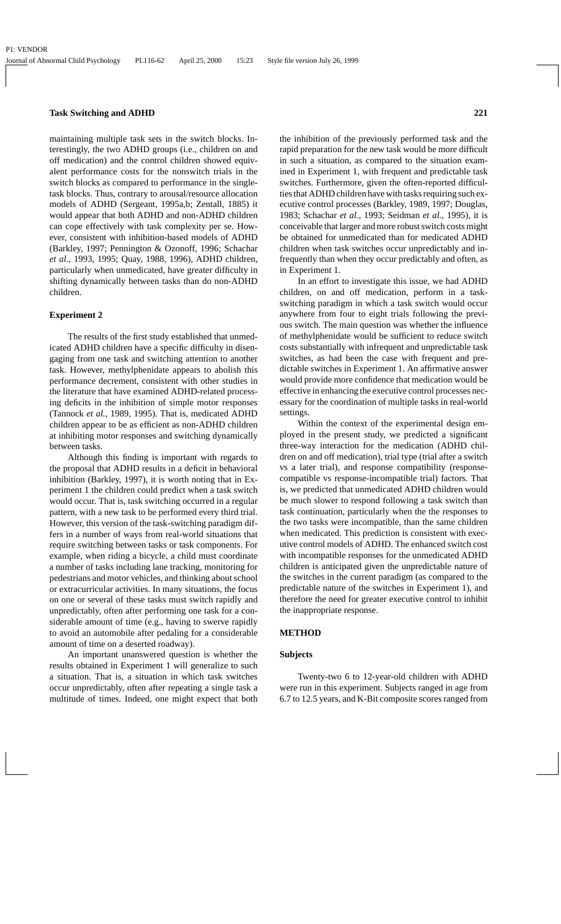maintaining multiple task sets in the switch blocks. Interestingly, the two ADHD groups (i.e., children on and off medication) and the control children showed equivalent performance costs for the nonswitch trials in the switch blocks as compared to performance in the singletask blocks. Thus, contrary to arousal/resource allocation models of ADHD (Sergeant, 1995a,b; Zentall, 1885) it would appear that both ADHD and non-ADHD children can cope effectively with task complexity per se. However, consistent with inhibition-based models of ADHD (Barkley, 1997; Pennington & Ozonoff, 1996; Schachar *et al.*, 1993, 1995; Quay, 1988, 1996), ADHD children, particularly when unmedicated, have greater difficulty in shifting dynamically between tasks than do non-ADHD children.

#### **Experiment 2**

The results of the first study established that unmedicated ADHD children have a specific difficulty in disengaging from one task and switching attention to another task. However, methylphenidate appears to abolish this performance decrement, consistent with other studies in the literature that have examined ADHD-related processing deficits in the inhibition of simple motor responses (Tannock *et al.*, 1989, 1995). That is, medicated ADHD children appear to be as efficient as non-ADHD children at inhibiting motor responses and switching dynamically between tasks.

Although this finding is important with regards to the proposal that ADHD results in a deficit in behavioral inhibition (Barkley, 1997), it is worth noting that in Experiment 1 the children could predict when a task switch would occur. That is, task switching occurred in a regular pattern, with a new task to be performed every third trial. However, this version of the task-switching paradigm differs in a number of ways from real-world situations that require switching between tasks or task components. For example, when riding a bicycle, a child must coordinate a number of tasks including lane tracking, monitoring for pedestrians and motor vehicles, and thinking about school or extracurricular activities. In many situations, the focus on one or several of these tasks must switch rapidly and unpredictably, often after performing one task for a considerable amount of time (e.g., having to swerve rapidly to avoid an automobile after pedaling for a considerable amount of time on a deserted roadway).

An important unanswered question is whether the results obtained in Experiment 1 will generalize to such a situation. That is, a situation in which task switches occur unpredictably, often after repeating a single task a multitude of times. Indeed, one might expect that both

the inhibition of the previously performed task and the rapid preparation for the new task would be more difficult in such a situation, as compared to the situation examined in Experiment 1, with frequent and predictable task switches. Furthermore, given the often-reported difficulties that ADHD children have with tasks requiring such executive control processes (Barkley, 1989, 1997; Douglas, 1983; Schachar *et al.*, 1993; Seidman *et al.*, 1995), it is conceivable that larger and more robust switch costs might be obtained for unmedicated than for medicated ADHD children when task switches occur unpredictably and infrequently than when they occur predictably and often, as in Experiment 1.

In an effort to investigate this issue, we had ADHD children, on and off medication, perform in a taskswitching paradigm in which a task switch would occur anywhere from four to eight trials following the previous switch. The main question was whether the influence of methylphenidate would be sufficient to reduce switch costs substantially with infrequent and unpredictable task switches, as had been the case with frequent and predictable switches in Experiment 1. An affirmative answer would provide more confidence that medication would be effective in enhancing the executive control processes necessary for the coordination of multiple tasks in real-world settings.

Within the context of the experimental design employed in the present study, we predicted a significant three-way interaction for the medication (ADHD children on and off medication), trial type (trial after a switch vs a later trial), and response compatibility (responsecompatible vs response-incompatible trial) factors. That is, we predicted that unmedicated ADHD children would be much slower to respond following a task switch than task continuation, particularly when the the responses to the two tasks were incompatible, than the same children when medicated. This prediction is consistent with executive control models of ADHD. The enhanced switch cost with incompatible responses for the unmedicated ADHD children is anticipated given the unpredictable nature of the switches in the current paradigm (as compared to the predictable nature of the switches in Experiment 1), and therefore the need for greater executive control to inhibit the inappropriate response.

## **METHOD**

#### **Subjects**

Twenty-two 6 to 12-year-old children with ADHD were run in this experiment. Subjects ranged in age from 6.7 to 12.5 years, and K-Bit composite scores ranged from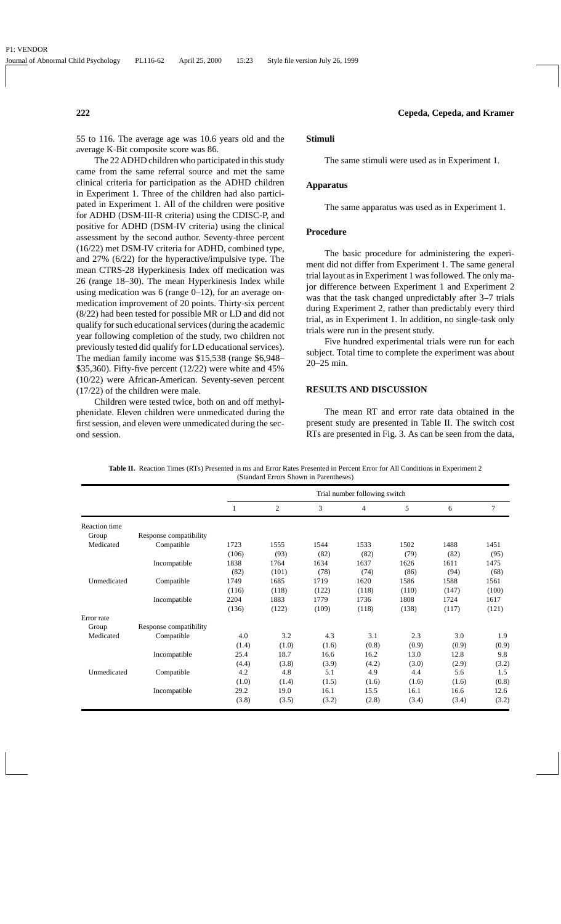55 to 116. The average age was 10.6 years old and the average K-Bit composite score was 86.

The 22 ADHD children who participated in this study came from the same referral source and met the same clinical criteria for participation as the ADHD children in Experiment 1. Three of the children had also participated in Experiment 1. All of the children were positive for ADHD (DSM-III-R criteria) using the CDISC-P, and positive for ADHD (DSM-IV criteria) using the clinical assessment by the second author. Seventy-three percent (16/22) met DSM-IV criteria for ADHD, combined type, and 27% (6/22) for the hyperactive/impulsive type. The mean CTRS-28 Hyperkinesis Index off medication was 26 (range 18–30). The mean Hyperkinesis Index while using medication was  $6$  (range 0–12), for an average onmedication improvement of 20 points. Thirty-six percent (8/22) had been tested for possible MR or LD and did not qualify for such educational services (during the academic year following completion of the study, two children not previously tested did qualify for LD educational services). The median family income was \$15,538 (range \$6,948– \$35,360). Fifty-five percent (12/22) were white and 45% (10/22) were African-American. Seventy-seven percent (17/22) of the children were male.

Children were tested twice, both on and off methylphenidate. Eleven children were unmedicated during the first session, and eleven were unmedicated during the second session.

## **Stimuli**

The same stimuli were used as in Experiment 1.

## **Apparatus**

The same apparatus was used as in Experiment 1.

# **Procedure**

The basic procedure for administering the experiment did not differ from Experiment 1. The same general trial layout as in Experiment 1 was followed. The only major difference between Experiment 1 and Experiment 2 was that the task changed unpredictably after 3–7 trials during Experiment 2, rather than predictably every third trial, as in Experiment 1. In addition, no single-task only trials were run in the present study.

Five hundred experimental trials were run for each subject. Total time to complete the experiment was about 20–25 min.

# **RESULTS AND DISCUSSION**

The mean RT and error rate data obtained in the present study are presented in Table II. The switch cost RTs are presented in Fig. 3. As can be seen from the data,

Trial number following switch 1234567 Reaction time Group Response compatibility Medicated Compatible 1723 1555 1544 1533 1502 1488 1451 (106) (93) (82) (82) (79) (82) (95) Incompatible 1838 1764 1634 1637 1626 1611 1475 (82) (101) (78) (74) (86) (94) (68) Unmedicated Compatible 1749 1685 1719 1620 1586 1588 1561  $(116)$   $(118)$   $(122)$   $(118)$   $(110)$   $(147)$   $(100)$ Incompatible 2204 1883 1779 1736 1808 1724 1617 (136) (122) (109) (118) (138) (117) (121) Error rate Group Response compatibility Medicated Compatible 4.0 3.2 4.3 3.1 2.3 3.0 1.9  $(1.4)$   $(1.0)$   $(1.6)$   $(0.8)$   $(0.9)$   $(0.9)$   $(0.9)$ Incompatible 25.4 18.7 16.6 16.2 13.0 12.8 9.8  $(4.4)$   $(3.8)$   $(3.9)$   $(4.2)$   $(3.0)$   $(2.9)$   $(3.2)$ Unmedicated Compatible 4.2 4.8 5.1 4.9 4.4 5.6 1.5  $(1.0)$   $(1.4)$   $(1.5)$   $(1.6)$   $(1.6)$   $(1.6)$   $(0.8)$ Incompatible 29.2 19.0 16.1 15.5 16.1 16.6 12.6  $(3.8)$   $(3.5)$   $(3.2)$   $(2.8)$   $(3.4)$   $(3.4)$   $(3.2)$ 

**Table II.** Reaction Times (RTs) Presented in ms and Error Rates Presented in Percent Error for All Conditions in Experiment 2 (Standard Errors Shown in Parentheses)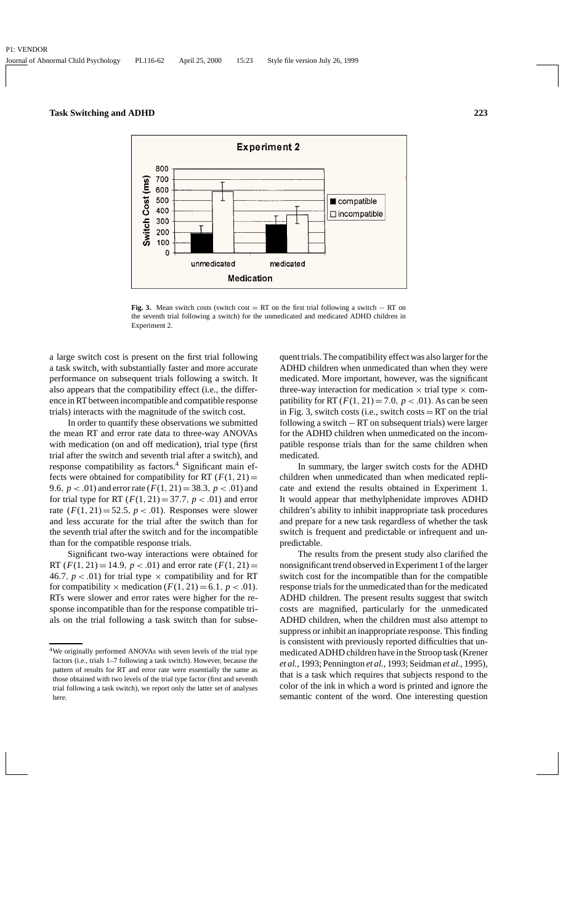

**Fig. 3.** Mean switch costs (switch cost = RT on the first trial following a switch  $- RT$  on the seventh trial following a switch) for the unmedicated and medicated ADHD children in Experiment 2.

a large switch cost is present on the first trial following a task switch, with substantially faster and more accurate performance on subsequent trials following a switch. It also appears that the compatibility effect (i.e., the difference in RT between incompatible and compatible response trials) interacts with the magnitude of the switch cost.

In order to quantify these observations we submitted the mean RT and error rate data to three-way ANOVAs with medication (on and off medication), trial type (first trial after the switch and seventh trial after a switch), and response compatibility as factors.<sup>4</sup> Significant main effects were obtained for compatibility for RT  $(F(1, 21)) =$ 9.6,  $p < .01$ ) and error rate  $(F(1, 21) = 38.3, p < .01)$  and for trial type for RT  $(F(1, 21) = 37.7, p < .01)$  and error rate  $(F(1, 21) = 52.5, p < .01)$ . Responses were slower and less accurate for the trial after the switch than for the seventh trial after the switch and for the incompatible than for the compatible response trials.

Significant two-way interactions were obtained for RT  $(F(1, 21) = 14.9, p < .01)$  and error rate  $(F(1, 21) =$ 46.7,  $p < .01$ ) for trial type  $\times$  compatibility and for RT for compatibility  $\times$  medication ( $F(1, 21) = 6.1$ ,  $p < .01$ ). RTs were slower and error rates were higher for the response incompatible than for the response compatible trials on the trial following a task switch than for subse-

quent trials. The compatibility effect was also larger for the ADHD children when unmedicated than when they were medicated. More important, however, was the significant three-way interaction for medication  $\times$  trial type  $\times$  compatibility for RT  $(F(1, 21) = 7.0, p < .01)$ . As can be seen in Fig. 3, switch costs (i.e., switch costs  $= RT$  on the trial following a switch − RT on subsequent trials) were larger for the ADHD children when unmedicated on the incompatible response trials than for the same children when medicated.

In summary, the larger switch costs for the ADHD children when unmedicated than when medicated replicate and extend the results obtained in Experiment 1. It would appear that methylphenidate improves ADHD children's ability to inhibit inappropriate task procedures and prepare for a new task regardless of whether the task switch is frequent and predictable or infrequent and unpredictable.

The results from the present study also clarified the nonsignificant trend observed in Experiment 1 of the larger switch cost for the incompatible than for the compatible response trials for the unmedicated than for the medicated ADHD children. The present results suggest that switch costs are magnified, particularly for the unmedicated ADHD children, when the children must also attempt to suppress or inhibit an inappropriate response. This finding is consistent with previously reported difficulties that unmedicated ADHD children have in the Stroop task (Krener *et al.*, 1993; Pennington *et al.*, 1993; Seidman *et al.*, 1995), that is a task which requires that subjects respond to the color of the ink in which a word is printed and ignore the semantic content of the word. One interesting question

<sup>4</sup>We originally performed ANOVAs with seven levels of the trial type factors (i.e., trials 1–7 following a task switch). However, because the pattern of results for RT and error rate were essentially the same as those obtained with two levels of the trial type factor (first and seventh trial following a task switch), we report only the latter set of analyses here.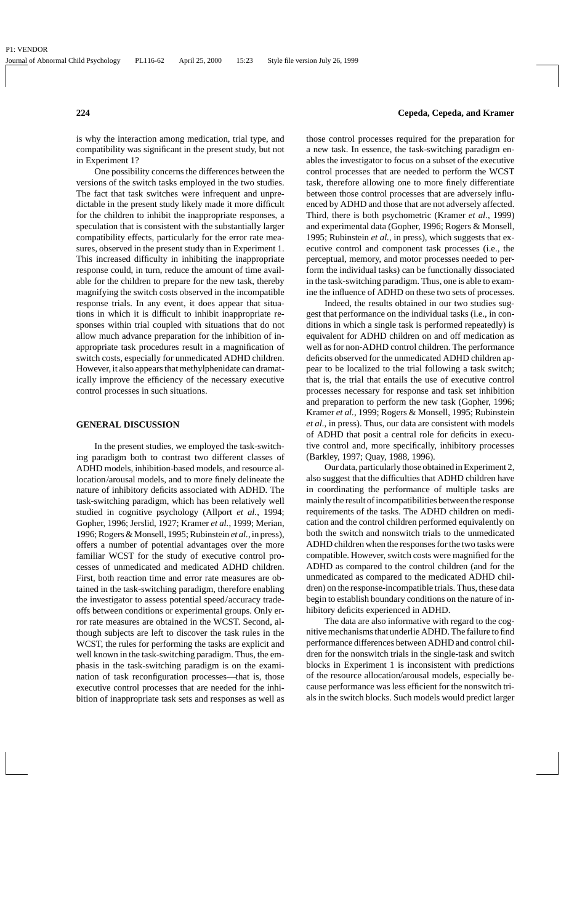is why the interaction among medication, trial type, and compatibility was significant in the present study, but not in Experiment 1?

One possibility concerns the differences between the versions of the switch tasks employed in the two studies. The fact that task switches were infrequent and unpredictable in the present study likely made it more difficult for the children to inhibit the inappropriate responses, a speculation that is consistent with the substantially larger compatibility effects, particularly for the error rate measures, observed in the present study than in Experiment 1. This increased difficulty in inhibiting the inappropriate response could, in turn, reduce the amount of time available for the children to prepare for the new task, thereby magnifying the switch costs observed in the incompatible response trials. In any event, it does appear that situations in which it is difficult to inhibit inappropriate responses within trial coupled with situations that do not allow much advance preparation for the inhibition of inappropriate task procedures result in a magnification of switch costs, especially for unmedicated ADHD children. However, it also appears that methylphenidate can dramatically improve the efficiency of the necessary executive control processes in such situations.

#### **GENERAL DISCUSSION**

In the present studies, we employed the task-switching paradigm both to contrast two different classes of ADHD models, inhibition-based models, and resource allocation/arousal models, and to more finely delineate the nature of inhibitory deficits associated with ADHD. The task-switching paradigm, which has been relatively well studied in cognitive psychology (Allport *et al.*, 1994; Gopher, 1996; Jerslid, 1927; Kramer *et al.*, 1999; Merian, 1996; Rogers & Monsell, 1995; Rubinstein *et al.*, in press), offers a number of potential advantages over the more familiar WCST for the study of executive control processes of unmedicated and medicated ADHD children. First, both reaction time and error rate measures are obtained in the task-switching paradigm, therefore enabling the investigator to assess potential speed/accuracy tradeoffs between conditions or experimental groups. Only error rate measures are obtained in the WCST. Second, although subjects are left to discover the task rules in the WCST, the rules for performing the tasks are explicit and well known in the task-switching paradigm. Thus, the emphasis in the task-switching paradigm is on the examination of task reconfiguration processes—that is, those executive control processes that are needed for the inhibition of inappropriate task sets and responses as well as those control processes required for the preparation for a new task. In essence, the task-switching paradigm enables the investigator to focus on a subset of the executive control processes that are needed to perform the WCST task, therefore allowing one to more finely differentiate between those control processes that are adversely influenced by ADHD and those that are not adversely affected. Third, there is both psychometric (Kramer *et al.*, 1999) and experimental data (Gopher, 1996; Rogers & Monsell, 1995; Rubinstein *et al.*, in press), which suggests that executive control and component task processes (i.e., the perceptual, memory, and motor processes needed to perform the individual tasks) can be functionally dissociated in the task-switching paradigm. Thus, one is able to examine the influence of ADHD on these two sets of processes.

Indeed, the results obtained in our two studies suggest that performance on the individual tasks (i.e., in conditions in which a single task is performed repeatedly) is equivalent for ADHD children on and off medication as well as for non-ADHD control children. The performance deficits observed for the unmedicated ADHD children appear to be localized to the trial following a task switch; that is, the trial that entails the use of executive control processes necessary for response and task set inhibition and preparation to perform the new task (Gopher, 1996; Kramer *et al.*, 1999; Rogers & Monsell, 1995; Rubinstein *et al.*, in press). Thus, our data are consistent with models of ADHD that posit a central role for deficits in executive control and, more specifically, inhibitory processes (Barkley, 1997; Quay, 1988, 1996).

Our data, particularly those obtained in Experiment 2, also suggest that the difficulties that ADHD children have in coordinating the performance of multiple tasks are mainly the result of incompatibilities between the response requirements of the tasks. The ADHD children on medication and the control children performed equivalently on both the switch and nonswitch trials to the unmedicated ADHD children when the responses for the two tasks were compatible. However, switch costs were magnified for the ADHD as compared to the control children (and for the unmedicated as compared to the medicated ADHD children) on the response-incompatible trials. Thus, these data begin to establish boundary conditions on the nature of inhibitory deficits experienced in ADHD.

The data are also informative with regard to the cognitive mechanisms that underlie ADHD. The failure to find performance differences between ADHD and control children for the nonswitch trials in the single-task and switch blocks in Experiment 1 is inconsistent with predictions of the resource allocation/arousal models, especially because performance was less efficient for the nonswitch trials in the switch blocks. Such models would predict larger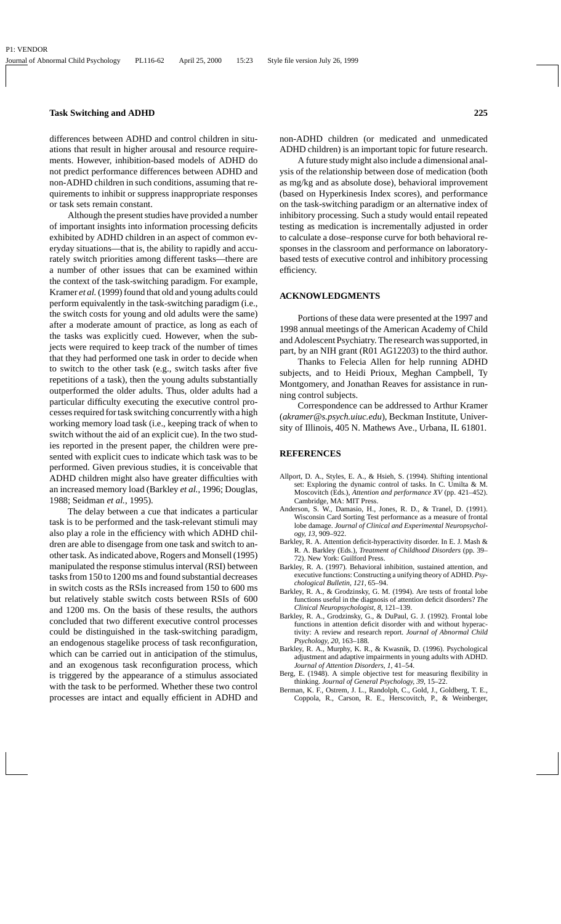#### **Task Switching and ADHD 225**

differences between ADHD and control children in situations that result in higher arousal and resource requirements. However, inhibition-based models of ADHD do not predict performance differences between ADHD and non-ADHD children in such conditions, assuming that requirements to inhibit or suppress inappropriate responses or task sets remain constant.

Although the present studies have provided a number of important insights into information processing deficits exhibited by ADHD children in an aspect of common everyday situations—that is, the ability to rapidly and accurately switch priorities among different tasks—there are a number of other issues that can be examined within the context of the task-switching paradigm. For example, Kramer *et al.* (1999) found that old and young adults could perform equivalently in the task-switching paradigm (i.e., the switch costs for young and old adults were the same) after a moderate amount of practice, as long as each of the tasks was explicitly cued. However, when the subjects were required to keep track of the number of times that they had performed one task in order to decide when to switch to the other task (e.g., switch tasks after five repetitions of a task), then the young adults substantially outperformed the older adults. Thus, older adults had a particular difficulty executing the executive control processes required for task switching concurrently with a high working memory load task (i.e., keeping track of when to switch without the aid of an explicit cue). In the two studies reported in the present paper, the children were presented with explicit cues to indicate which task was to be performed. Given previous studies, it is conceivable that ADHD children might also have greater difficulties with an increased memory load (Barkley *et al.*, 1996; Douglas, 1988; Seidman *et al.*, 1995).

The delay between a cue that indicates a particular task is to be performed and the task-relevant stimuli may also play a role in the efficiency with which ADHD children are able to disengage from one task and switch to another task. As indicated above, Rogers and Monsell (1995) manipulated the response stimulus interval (RSI) between tasks from 150 to 1200 ms and found substantial decreases in switch costs as the RSIs increased from 150 to 600 ms but relatively stable switch costs between RSIs of 600 and 1200 ms. On the basis of these results, the authors concluded that two different executive control processes could be distinguished in the task-switching paradigm, an endogenous stagelike process of task reconfiguration, which can be carried out in anticipation of the stimulus, and an exogenous task reconfiguration process, which is triggered by the appearance of a stimulus associated with the task to be performed. Whether these two control processes are intact and equally efficient in ADHD and non-ADHD children (or medicated and unmedicated ADHD children) is an important topic for future research.

A future study might also include a dimensional analysis of the relationship between dose of medication (both as mg/kg and as absolute dose), behavioral improvement (based on Hyperkinesis Index scores), and performance on the task-switching paradigm or an alternative index of inhibitory processing. Such a study would entail repeated testing as medication is incrementally adjusted in order to calculate a dose–response curve for both behavioral responses in the classroom and performance on laboratorybased tests of executive control and inhibitory processing efficiency.

#### **ACKNOWLEDGMENTS**

Portions of these data were presented at the 1997 and 1998 annual meetings of the American Academy of Child and Adolescent Psychiatry. The research was supported, in part, by an NIH grant (R01 AG12203) to the third author.

Thanks to Felecia Allen for help running ADHD subjects, and to Heidi Prioux, Meghan Campbell, Ty Montgomery, and Jonathan Reaves for assistance in running control subjects.

Correspondence can be addressed to Arthur Kramer (*akramer@s.psych.uiuc.edu*), Beckman Institute, University of Illinois, 405 N. Mathews Ave., Urbana, IL 61801.

### **REFERENCES**

- Allport, D. A., Styles, E. A., & Hsieh, S. (1994). Shifting intentional set: Exploring the dynamic control of tasks. In C. Umilta & M. Moscovitch (Eds.), *Attention and performance XV* (pp. 421–452). Cambridge, MA: MIT Press.
- Anderson, S. W., Damasio, H., Jones, R. D., & Tranel, D. (1991). Wisconsin Card Sorting Test performance as a measure of frontal lobe damage. *Journal of Clinical and Experimental Neuropsychology, 13*, 909–922.
- Barkley, R. A. Attention deficit-hyperactivity disorder. In E. J. Mash & R. A. Barkley (Eds.), *Treatment of Childhood Disorders* (pp. 39– 72). New York: Guilford Press.
- Barkley, R. A. (1997). Behavioral inhibition, sustained attention, and executive functions: Constructing a unifying theory of ADHD. *Psychological Bulletin, 121*, 65–94.
- Barkley, R. A., & Grodzinsky, G. M. (1994). Are tests of frontal lobe functions useful in the diagnosis of attention deficit disorders? *The Clinical Neuropsychologist, 8*, 121–139.
- Barkley, R. A., Grodzinsky, G., & DuPaul, G. J. (1992). Frontal lobe functions in attention deficit disorder with and without hyperactivity: A review and research report. *Journal of Abnormal Child Psychology, 20*, 163–188.
- Barkley, R. A., Murphy, K. R., & Kwasnik, D. (1996). Psychological adjustment and adaptive impairments in young adults with ADHD. *Journal of Attention Disorders, 1*, 41–54.
- Berg, E. (1948). A simple objective test for measuring flexibility in thinking. *Journal of General Psychology, 39*, 15–22.
- Berman, K. F., Ostrem, J. L., Randolph, C., Gold, J., Goldberg, T. E., Coppola, R., Carson, R. E., Herscovitch, P., & Weinberger,